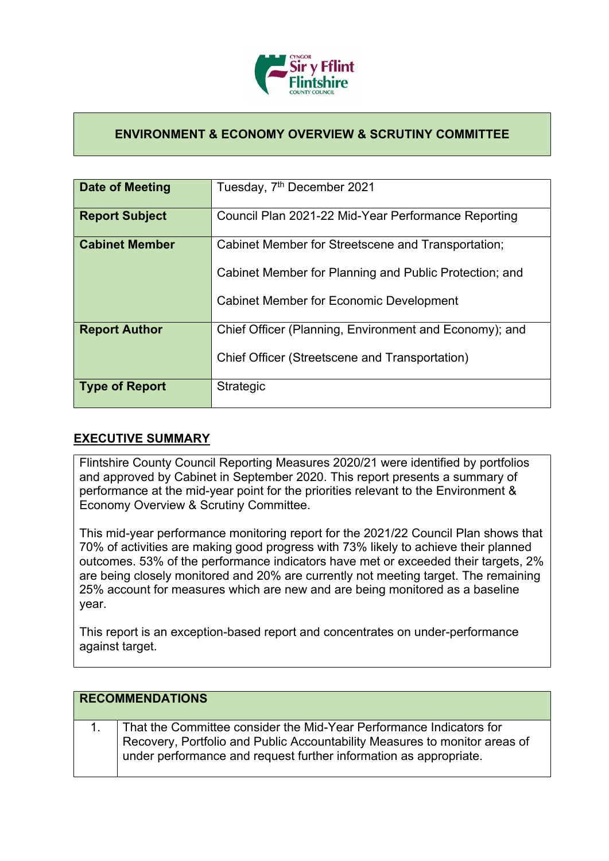

## **ENVIRONMENT & ECONOMY OVERVIEW & SCRUTINY COMMITTEE**

| Date of Meeting       | Tuesday, 7 <sup>th</sup> December 2021                 |
|-----------------------|--------------------------------------------------------|
| <b>Report Subject</b> | Council Plan 2021-22 Mid-Year Performance Reporting    |
| <b>Cabinet Member</b> | Cabinet Member for Streetscene and Transportation;     |
|                       | Cabinet Member for Planning and Public Protection; and |
|                       | <b>Cabinet Member for Economic Development</b>         |
| <b>Report Author</b>  | Chief Officer (Planning, Environment and Economy); and |
|                       | Chief Officer (Streetscene and Transportation)         |
| <b>Type of Report</b> | Strategic                                              |

## **EXECUTIVE SUMMARY**

Flintshire County Council Reporting Measures 2020/21 were identified by portfolios and approved by Cabinet in September 2020. This report presents a summary of performance at the mid-year point for the priorities relevant to the Environment & Economy Overview & Scrutiny Committee.

This mid-year performance monitoring report for the 2021/22 Council Plan shows that 70% of activities are making good progress with 73% likely to achieve their planned outcomes. 53% of the performance indicators have met or exceeded their targets, 2% are being closely monitored and 20% are currently not meeting target. The remaining 25% account for measures which are new and are being monitored as a baseline year.

This report is an exception-based report and concentrates on under-performance against target.

| <b>RECOMMENDATIONS</b> |                                                                                                                                                                                                                        |
|------------------------|------------------------------------------------------------------------------------------------------------------------------------------------------------------------------------------------------------------------|
|                        | That the Committee consider the Mid-Year Performance Indicators for<br>Recovery, Portfolio and Public Accountability Measures to monitor areas of<br>under performance and request further information as appropriate. |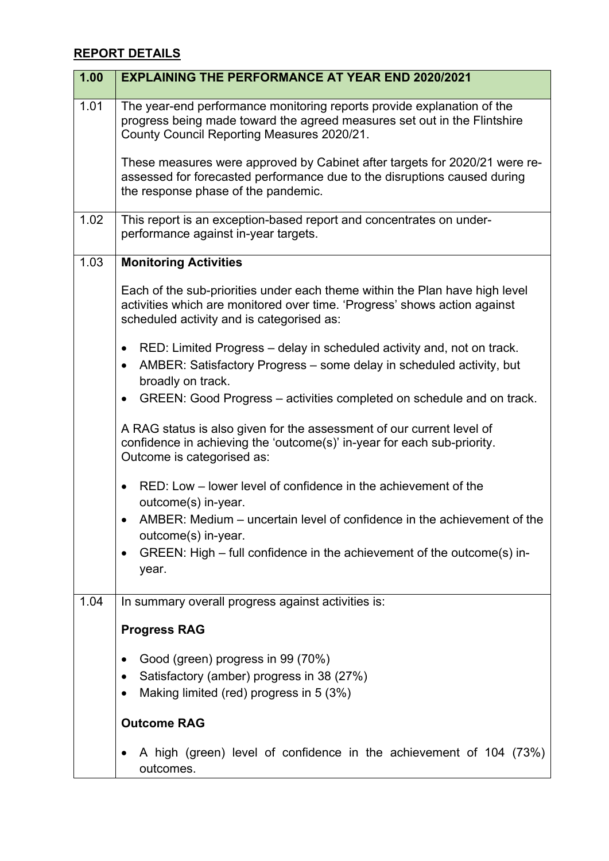## **REPORT DETAILS**

| 1.00 | <b>EXPLAINING THE PERFORMANCE AT YEAR END 2020/2021</b>                                                                                                                                               |
|------|-------------------------------------------------------------------------------------------------------------------------------------------------------------------------------------------------------|
| 1.01 | The year-end performance monitoring reports provide explanation of the<br>progress being made toward the agreed measures set out in the Flintshire<br>County Council Reporting Measures 2020/21.      |
|      | These measures were approved by Cabinet after targets for 2020/21 were re-<br>assessed for forecasted performance due to the disruptions caused during<br>the response phase of the pandemic.         |
| 1.02 | This report is an exception-based report and concentrates on under-<br>performance against in-year targets.                                                                                           |
| 1.03 | <b>Monitoring Activities</b>                                                                                                                                                                          |
|      | Each of the sub-priorities under each theme within the Plan have high level<br>activities which are monitored over time. 'Progress' shows action against<br>scheduled activity and is categorised as: |
|      | RED: Limited Progress – delay in scheduled activity and, not on track.<br>$\bullet$<br>AMBER: Satisfactory Progress – some delay in scheduled activity, but<br>$\bullet$<br>broadly on track.         |
|      | GREEN: Good Progress – activities completed on schedule and on track.<br>$\bullet$                                                                                                                    |
|      | A RAG status is also given for the assessment of our current level of<br>confidence in achieving the 'outcome(s)' in-year for each sub-priority.<br>Outcome is categorised as:                        |
|      | RED: Low - lower level of confidence in the achievement of the<br>$\bullet$<br>outcome(s) in-year.                                                                                                    |
|      | AMBER: Medium – uncertain level of confidence in the achievement of the<br>outcome(s) in-year.                                                                                                        |
|      | GREEN: High – full confidence in the achievement of the outcome(s) in-<br>year.                                                                                                                       |
| 1.04 | In summary overall progress against activities is:                                                                                                                                                    |
|      | <b>Progress RAG</b>                                                                                                                                                                                   |
|      | Good (green) progress in 99 (70%)<br>$\bullet$                                                                                                                                                        |
|      | Satisfactory (amber) progress in 38 (27%)<br>$\bullet$<br>Making limited (red) progress in 5 (3%)<br>$\bullet$                                                                                        |
|      | <b>Outcome RAG</b>                                                                                                                                                                                    |
|      | A high (green) level of confidence in the achievement of 104 (73%)<br>outcomes.                                                                                                                       |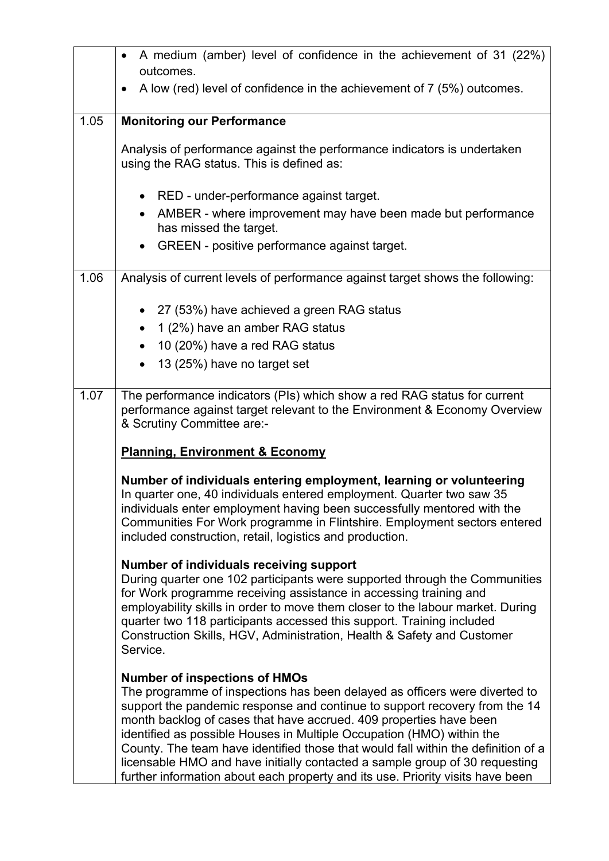|      | A medium (amber) level of confidence in the achievement of 31 (22%)<br>$\bullet$                                                                                                                                                                                                                                                                                                                                                                                                                                                                                                                      |
|------|-------------------------------------------------------------------------------------------------------------------------------------------------------------------------------------------------------------------------------------------------------------------------------------------------------------------------------------------------------------------------------------------------------------------------------------------------------------------------------------------------------------------------------------------------------------------------------------------------------|
|      | outcomes.                                                                                                                                                                                                                                                                                                                                                                                                                                                                                                                                                                                             |
|      | A low (red) level of confidence in the achievement of 7 (5%) outcomes.<br>$\bullet$                                                                                                                                                                                                                                                                                                                                                                                                                                                                                                                   |
| 1.05 | <b>Monitoring our Performance</b>                                                                                                                                                                                                                                                                                                                                                                                                                                                                                                                                                                     |
|      | Analysis of performance against the performance indicators is undertaken<br>using the RAG status. This is defined as:                                                                                                                                                                                                                                                                                                                                                                                                                                                                                 |
|      | RED - under-performance against target.                                                                                                                                                                                                                                                                                                                                                                                                                                                                                                                                                               |
|      | AMBER - where improvement may have been made but performance<br>has missed the target.                                                                                                                                                                                                                                                                                                                                                                                                                                                                                                                |
|      | GREEN - positive performance against target.                                                                                                                                                                                                                                                                                                                                                                                                                                                                                                                                                          |
| 1.06 | Analysis of current levels of performance against target shows the following:                                                                                                                                                                                                                                                                                                                                                                                                                                                                                                                         |
|      | 27 (53%) have achieved a green RAG status                                                                                                                                                                                                                                                                                                                                                                                                                                                                                                                                                             |
|      | 1 (2%) have an amber RAG status<br>$\bullet$                                                                                                                                                                                                                                                                                                                                                                                                                                                                                                                                                          |
|      | 10 (20%) have a red RAG status                                                                                                                                                                                                                                                                                                                                                                                                                                                                                                                                                                        |
|      | 13 (25%) have no target set                                                                                                                                                                                                                                                                                                                                                                                                                                                                                                                                                                           |
|      |                                                                                                                                                                                                                                                                                                                                                                                                                                                                                                                                                                                                       |
| 1.07 | The performance indicators (PIs) which show a red RAG status for current<br>performance against target relevant to the Environment & Economy Overview<br>& Scrutiny Committee are:-                                                                                                                                                                                                                                                                                                                                                                                                                   |
|      | <b>Planning, Environment &amp; Economy</b>                                                                                                                                                                                                                                                                                                                                                                                                                                                                                                                                                            |
|      | Number of individuals entering employment, learning or volunteering<br>In quarter one, 40 individuals entered employment. Quarter two saw 35<br>individuals enter employment having been successfully mentored with the<br>Communities For Work programme in Flintshire. Employment sectors entered<br>included construction, retail, logistics and production.                                                                                                                                                                                                                                       |
|      | Number of individuals receiving support<br>During quarter one 102 participants were supported through the Communities<br>for Work programme receiving assistance in accessing training and<br>employability skills in order to move them closer to the labour market. During<br>quarter two 118 participants accessed this support. Training included<br>Construction Skills, HGV, Administration, Health & Safety and Customer<br>Service.                                                                                                                                                           |
|      | <b>Number of inspections of HMOs</b><br>The programme of inspections has been delayed as officers were diverted to<br>support the pandemic response and continue to support recovery from the 14<br>month backlog of cases that have accrued. 409 properties have been<br>identified as possible Houses in Multiple Occupation (HMO) within the<br>County. The team have identified those that would fall within the definition of a<br>licensable HMO and have initially contacted a sample group of 30 requesting<br>further information about each property and its use. Priority visits have been |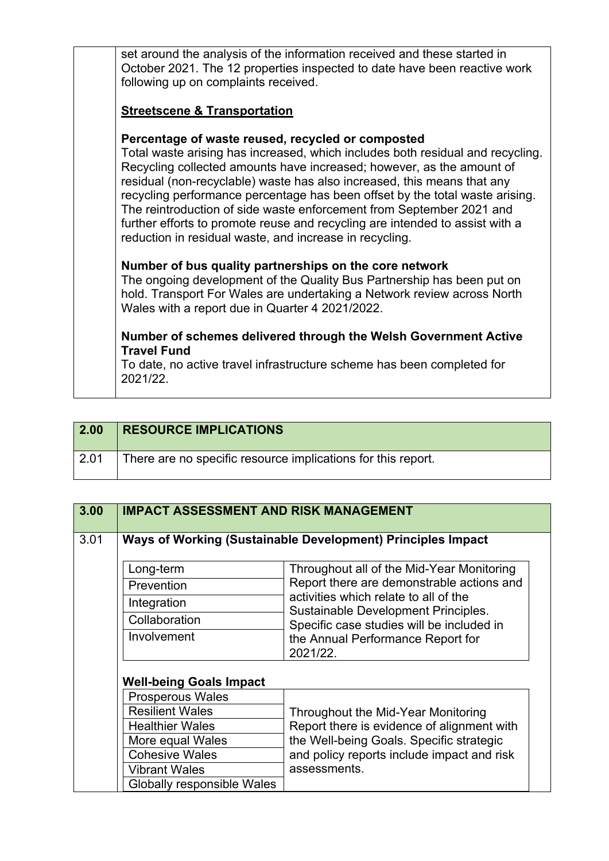| set around the analysis of the information received and these started in<br>October 2021. The 12 properties inspected to date have been reactive work<br>following up on complaints received.                                                                                                                                                                                                                                                                                                                                                                                              |
|--------------------------------------------------------------------------------------------------------------------------------------------------------------------------------------------------------------------------------------------------------------------------------------------------------------------------------------------------------------------------------------------------------------------------------------------------------------------------------------------------------------------------------------------------------------------------------------------|
| <b>Streetscene &amp; Transportation</b>                                                                                                                                                                                                                                                                                                                                                                                                                                                                                                                                                    |
| Percentage of waste reused, recycled or composted<br>Total waste arising has increased, which includes both residual and recycling.<br>Recycling collected amounts have increased; however, as the amount of<br>residual (non-recyclable) waste has also increased, this means that any<br>recycling performance percentage has been offset by the total waste arising.<br>The reintroduction of side waste enforcement from September 2021 and<br>further efforts to promote reuse and recycling are intended to assist with a<br>reduction in residual waste, and increase in recycling. |
| Number of bus quality partnerships on the core network<br>The ongoing development of the Quality Bus Partnership has been put on<br>hold. Transport For Wales are undertaking a Network review across North<br>Wales with a report due in Quarter 4 2021/2022.                                                                                                                                                                                                                                                                                                                             |
| Number of schemes delivered through the Welsh Government Active<br><b>Travel Fund</b>                                                                                                                                                                                                                                                                                                                                                                                                                                                                                                      |
| To date, no active travel infrastructure scheme has been completed for<br>2021/22.                                                                                                                                                                                                                                                                                                                                                                                                                                                                                                         |

| 2.00            | <b>RESOURCE IMPLICATIONS</b>                                 |
|-----------------|--------------------------------------------------------------|
| $^{\circ}$ 2.01 | There are no specific resource implications for this report. |

| 3.00 | <b>IMPACT ASSESSMENT AND RISK MANAGEMENT</b> |                                                                              |
|------|----------------------------------------------|------------------------------------------------------------------------------|
| 3.01 |                                              | Ways of Working (Sustainable Development) Principles Impact                  |
|      | Long-term                                    | Throughout all of the Mid-Year Monitoring                                    |
|      | Prevention                                   | Report there are demonstrable actions and                                    |
|      | Integration                                  | activities which relate to all of the<br>Sustainable Development Principles. |
|      | Collaboration                                | Specific case studies will be included in                                    |
|      | Involvement                                  | the Annual Performance Report for                                            |
|      |                                              | 2021/22.                                                                     |
|      | <b>Well-being Goals Impact</b>               |                                                                              |
|      | Prosperous Wales                             |                                                                              |
|      | <b>Resilient Wales</b>                       | Throughout the Mid-Year Monitoring                                           |
|      | <b>Healthier Wales</b>                       | Report there is evidence of alignment with                                   |
|      | More equal Wales                             | the Well-being Goals. Specific strategic                                     |
|      | <b>Cohesive Wales</b>                        | and policy reports include impact and risk                                   |
|      | <b>Vibrant Wales</b>                         | assessments.                                                                 |
|      | Globally responsible Wales                   |                                                                              |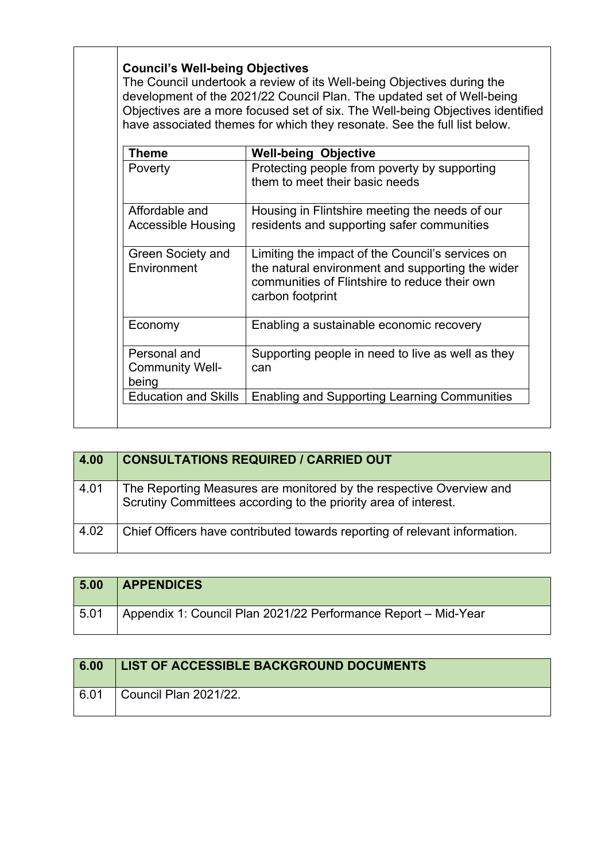|                                                 | The Council undertook a review of its Well-being Objectives during the<br>development of the 2021/22 Council Plan. The updated set of Well-being<br>Objectives are a more focused set of six. The Well-being Objectives identified<br>have associated themes for which they resonate. See the full list below. |
|-------------------------------------------------|----------------------------------------------------------------------------------------------------------------------------------------------------------------------------------------------------------------------------------------------------------------------------------------------------------------|
| <b>Theme</b>                                    | <b>Well-being Objective</b>                                                                                                                                                                                                                                                                                    |
| Poverty                                         | Protecting people from poverty by supporting<br>them to meet their basic needs                                                                                                                                                                                                                                 |
| Affordable and<br><b>Accessible Housing</b>     | Housing in Flintshire meeting the needs of our<br>residents and supporting safer communities                                                                                                                                                                                                                   |
| <b>Green Society and</b><br>Environment         | Limiting the impact of the Council's services on<br>the natural environment and supporting the wider<br>communities of Flintshire to reduce their own<br>carbon footprint                                                                                                                                      |
| Economy                                         | Enabling a sustainable economic recovery                                                                                                                                                                                                                                                                       |
| Personal and<br><b>Community Well-</b><br>being | Supporting people in need to live as well as they<br>can                                                                                                                                                                                                                                                       |
| <b>Education and Skills</b>                     | <b>Enabling and Supporting Learning Communities</b>                                                                                                                                                                                                                                                            |

| 4.00 | <b>CONSULTATIONS REQUIRED / CARRIED OUT</b>                                                                                            |
|------|----------------------------------------------------------------------------------------------------------------------------------------|
| 4.01 | The Reporting Measures are monitored by the respective Overview and<br>Scrutiny Committees according to the priority area of interest. |
| 4.02 | Chief Officers have contributed towards reporting of relevant information.                                                             |

| 5.00 | <b>APPENDICES</b>                                              |
|------|----------------------------------------------------------------|
| 5.01 | Appendix 1: Council Plan 2021/22 Performance Report - Mid-Year |

| 6.00 | LIST OF ACCESSIBLE BACKGROUND DOCUMENTS |
|------|-----------------------------------------|
| 6.01 | $^{\prime}$ Council Plan 2021/22.       |